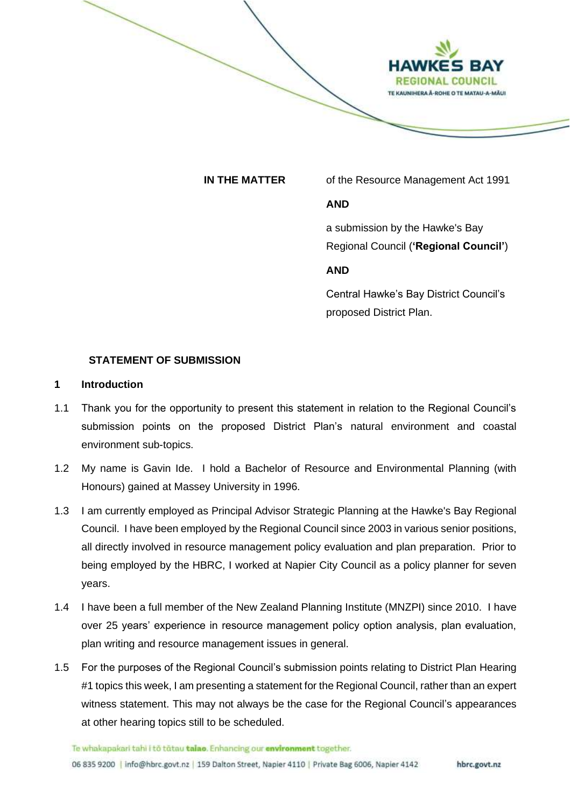

**IN THE MATTER** of the Resource Management Act 1991

## **AND**

a submission by the Hawke's Bay Regional Council (**'Regional Council'**)

## **AND**

Central Hawke's Bay District Council's proposed District Plan.

## **STATEMENT OF SUBMISSION**

### **1 Introduction**

- 1.1 Thank you for the opportunity to present this statement in relation to the Regional Council's submission points on the proposed District Plan's natural environment and coastal environment sub-topics.
- 1.2 My name is Gavin Ide. I hold a Bachelor of Resource and Environmental Planning (with Honours) gained at Massey University in 1996.
- 1.3 I am currently employed as Principal Advisor Strategic Planning at the Hawke's Bay Regional Council. I have been employed by the Regional Council since 2003 in various senior positions, all directly involved in resource management policy evaluation and plan preparation. Prior to being employed by the HBRC, I worked at Napier City Council as a policy planner for seven years.
- 1.4 I have been a full member of the New Zealand Planning Institute (MNZPI) since 2010. I have over 25 years' experience in resource management policy option analysis, plan evaluation, plan writing and resource management issues in general.
- 1.5 For the purposes of the Regional Council's submission points relating to District Plan Hearing #1 topics this week, I am presenting a statement for the Regional Council, rather than an expert witness statement. This may not always be the case for the Regional Council's appearances at other hearing topics still to be scheduled.

Te whakapakari tahi i to tatau talao. Enhancing our environment together.

06 835 9200 | info@hbrc.govt.nz | 159 Dalton Street, Napier 4110 | Private Bag 6006, Napier 4142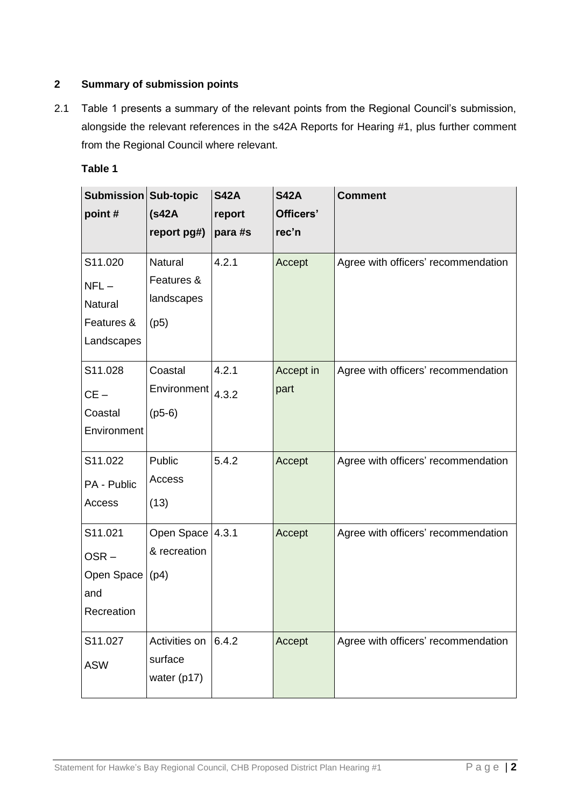# **2 Summary of submission points**

2.1 Table 1 presents a summary of the relevant points from the Regional Council's submission, alongside the relevant references in the s42A Reports for Hearing #1, plus further comment from the Regional Council where relevant.

| able |
|------|
|------|

| Submission Sub-topic |                  | <b>S42A</b> | <b>S42A</b> | <b>Comment</b>                      |
|----------------------|------------------|-------------|-------------|-------------------------------------|
| point#               | (s42A)           | report      | Officers'   |                                     |
|                      | report pg#)      | para #s     | rec'n       |                                     |
| S11.020              | Natural          | 4.2.1       | Accept      | Agree with officers' recommendation |
| $NFL-$               | Features &       |             |             |                                     |
| <b>Natural</b>       | landscapes       |             |             |                                     |
| Features &           | (p5)             |             |             |                                     |
| Landscapes           |                  |             |             |                                     |
| S11.028              | Coastal          | 4.2.1       | Accept in   | Agree with officers' recommendation |
| $CE -$               | Environment      | 4.3.2       | part        |                                     |
| Coastal              | $(p5-6)$         |             |             |                                     |
| Environment          |                  |             |             |                                     |
| S11.022              | Public           | 5.4.2       | Accept      | Agree with officers' recommendation |
| PA - Public          | Access           |             |             |                                     |
| Access               | (13)             |             |             |                                     |
| S11.021              | Open Space 4.3.1 |             | Accept      | Agree with officers' recommendation |
| $OSR -$              | & recreation     |             |             |                                     |
| Open Space           | (p4)             |             |             |                                     |
| and                  |                  |             |             |                                     |
| Recreation           |                  |             |             |                                     |
| S11.027              | Activities on    | 6.4.2       | Accept      | Agree with officers' recommendation |
| <b>ASW</b>           | surface          |             |             |                                     |
|                      | water (p17)      |             |             |                                     |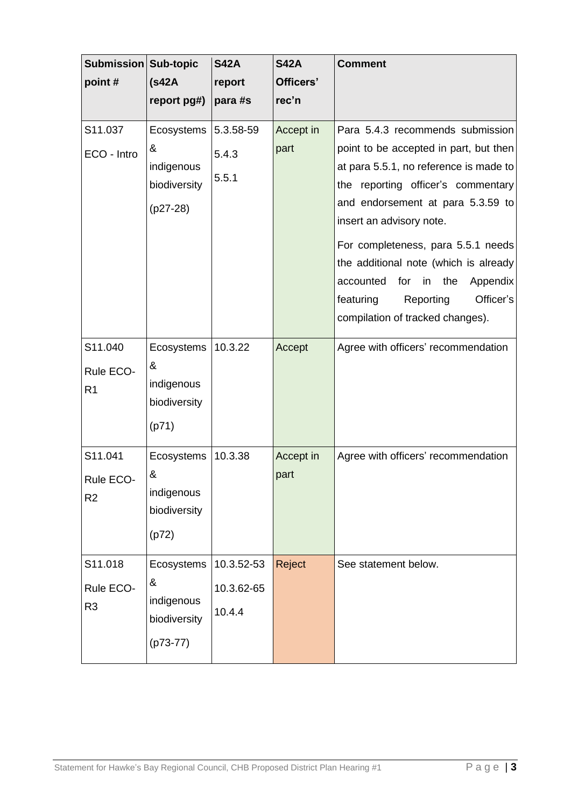| Submission Sub-topic<br>point#         | (s42A)<br>report pg#)                                       | <b>S42A</b><br>report<br>para #s   | <b>S42A</b><br>Officers'<br>rec'n | <b>Comment</b>                                                                                                                                                                                                                                                                                                                                                                                                                     |
|----------------------------------------|-------------------------------------------------------------|------------------------------------|-----------------------------------|------------------------------------------------------------------------------------------------------------------------------------------------------------------------------------------------------------------------------------------------------------------------------------------------------------------------------------------------------------------------------------------------------------------------------------|
| S11.037<br>ECO - Intro                 | Ecosystems<br>&<br>indigenous<br>biodiversity<br>$(p27-28)$ | 5.3.58-59<br>5.4.3<br>5.5.1        | Accept in<br>part                 | Para 5.4.3 recommends submission<br>point to be accepted in part, but then<br>at para 5.5.1, no reference is made to<br>the reporting officer's commentary<br>and endorsement at para 5.3.59 to<br>insert an advisory note.<br>For completeness, para 5.5.1 needs<br>the additional note (which is already<br>for<br>accounted<br>in<br>the<br>Appendix<br>Officer's<br>featuring<br>Reporting<br>compilation of tracked changes). |
| S11.040<br>Rule ECO-<br>R <sub>1</sub> | Ecosystems<br>&<br>indigenous<br>biodiversity<br>(p71)      | 10.3.22                            | Accept                            | Agree with officers' recommendation                                                                                                                                                                                                                                                                                                                                                                                                |
| S11.041<br>Rule ECO-<br>R2             | Ecosystems<br>&<br>indigenous<br>biodiversity<br>(p72)      | 10.3.38                            | Accept in<br>part                 | Agree with officers' recommendation                                                                                                                                                                                                                                                                                                                                                                                                |
| S11.018<br>Rule ECO-<br>R <sub>3</sub> | Ecosystems<br>&<br>indigenous<br>biodiversity<br>$(p73-77)$ | 10.3.52-53<br>10.3.62-65<br>10.4.4 | Reject                            | See statement below.                                                                                                                                                                                                                                                                                                                                                                                                               |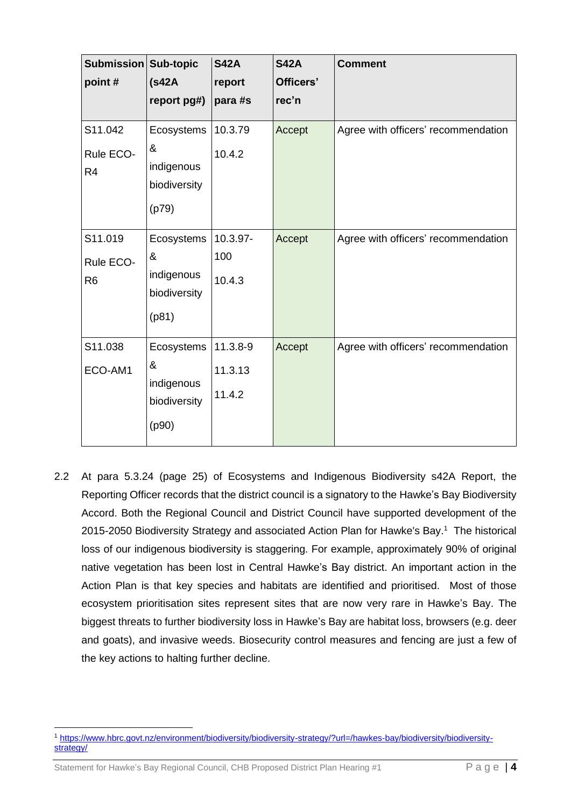| <b>Submission Sub-topic</b><br>point#  | (s42A)<br>report pg#)                                  | <b>S42A</b><br>report<br>para #s | <b>S42A</b><br>Officers'<br>rec'n | <b>Comment</b>                      |
|----------------------------------------|--------------------------------------------------------|----------------------------------|-----------------------------------|-------------------------------------|
| S11.042<br>Rule ECO-<br>R <sub>4</sub> | Ecosystems<br>&<br>indigenous<br>biodiversity<br>(p79) | 10.3.79<br>10.4.2                | Accept                            | Agree with officers' recommendation |
| S11.019<br>Rule ECO-<br>R <sub>6</sub> | Ecosystems<br>&<br>indigenous<br>biodiversity<br>(p81) | 10.3.97-<br>100<br>10.4.3        | Accept                            | Agree with officers' recommendation |
| S11.038<br>ECO-AM1                     | Ecosystems<br>&<br>indigenous<br>biodiversity<br>(p90) | 11.3.8-9<br>11.3.13<br>11.4.2    | Accept                            | Agree with officers' recommendation |

2.2 At para 5.3.24 (page 25) of Ecosystems and Indigenous Biodiversity s42A Report, the Reporting Officer records that the district council is a signatory to the Hawke's Bay Biodiversity Accord. Both the Regional Council and District Council have supported development of the 2015-2050 Biodiversity Strategy and associated Action Plan for Hawke's Bay.<sup>1</sup> The historical loss of our indigenous biodiversity is staggering. For example, approximately 90% of original native vegetation has been lost in Central Hawke's Bay district. An important action in the Action Plan is that key species and habitats are identified and prioritised. Most of those ecosystem prioritisation sites represent sites that are now very rare in Hawke's Bay. The biggest threats to further biodiversity loss in Hawke's Bay are habitat loss, browsers (e.g. deer and goats), and invasive weeds. Biosecurity control measures and fencing are just a few of the key actions to halting further decline.

<sup>1</sup> [https://www.hbrc.govt.nz/environment/biodiversity/biodiversity-strategy/?url=/hawkes-bay/biodiversity/biodiversity](https://www.hbrc.govt.nz/environment/biodiversity/biodiversity-strategy/?url=/hawkes-bay/biodiversity/biodiversity-strategy/)[strategy/](https://www.hbrc.govt.nz/environment/biodiversity/biodiversity-strategy/?url=/hawkes-bay/biodiversity/biodiversity-strategy/)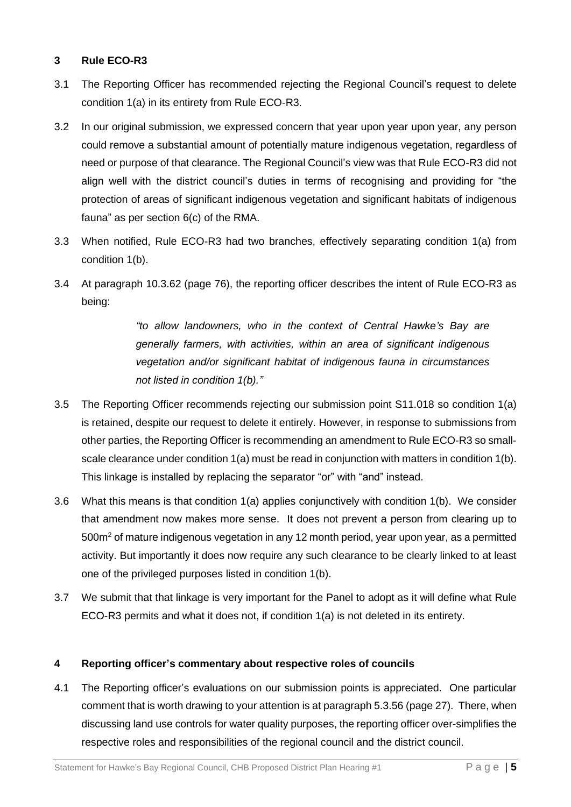# **3 Rule ECO-R3**

- 3.1 The Reporting Officer has recommended rejecting the Regional Council's request to delete condition 1(a) in its entirety from Rule ECO-R3.
- 3.2 In our original submission, we expressed concern that year upon year upon year, any person could remove a substantial amount of potentially mature indigenous vegetation, regardless of need or purpose of that clearance. The Regional Council's view was that Rule ECO-R3 did not align well with the district council's duties in terms of recognising and providing for "the protection of areas of significant indigenous vegetation and significant habitats of indigenous fauna" as per section 6(c) of the RMA.
- 3.3 When notified, Rule ECO-R3 had two branches, effectively separating condition 1(a) from condition 1(b).
- 3.4 At paragraph 10.3.62 (page 76), the reporting officer describes the intent of Rule ECO-R3 as being:

*"to allow landowners, who in the context of Central Hawke's Bay are generally farmers, with activities, within an area of significant indigenous vegetation and/or significant habitat of indigenous fauna in circumstances not listed in condition 1(b)."*

- 3.5 The Reporting Officer recommends rejecting our submission point S11.018 so condition 1(a) is retained, despite our request to delete it entirely. However, in response to submissions from other parties, the Reporting Officer is recommending an amendment to Rule ECO-R3 so smallscale clearance under condition 1(a) must be read in conjunction with matters in condition 1(b). This linkage is installed by replacing the separator "or" with "and" instead.
- 3.6 What this means is that condition 1(a) applies conjunctively with condition 1(b). We consider that amendment now makes more sense. It does not prevent a person from clearing up to  $500<sup>m²</sup>$  of mature indigenous vegetation in any 12 month period, year upon year, as a permitted activity. But importantly it does now require any such clearance to be clearly linked to at least one of the privileged purposes listed in condition 1(b).
- 3.7 We submit that that linkage is very important for the Panel to adopt as it will define what Rule ECO-R3 permits and what it does not, if condition 1(a) is not deleted in its entirety.

# **4 Reporting officer's commentary about respective roles of councils**

4.1 The Reporting officer's evaluations on our submission points is appreciated. One particular comment that is worth drawing to your attention is at paragraph 5.3.56 (page 27). There, when discussing land use controls for water quality purposes, the reporting officer over-simplifies the respective roles and responsibilities of the regional council and the district council.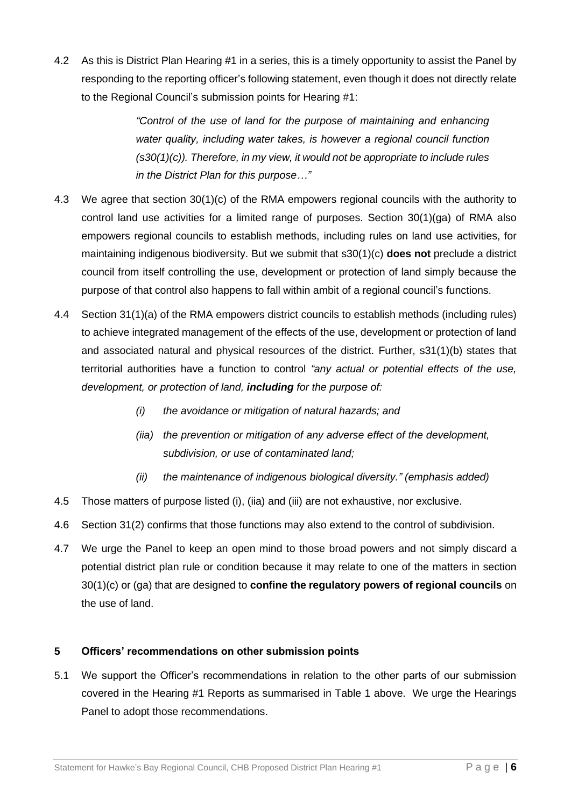4.2 As this is District Plan Hearing #1 in a series, this is a timely opportunity to assist the Panel by responding to the reporting officer's following statement, even though it does not directly relate to the Regional Council's submission points for Hearing #1:

> *"Control of the use of land for the purpose of maintaining and enhancing water quality, including water takes, is however a regional council function (s30(1)(c)). Therefore, in my view, it would not be appropriate to include rules in the District Plan for this purpose…"*

- 4.3 We agree that section 30(1)(c) of the RMA empowers regional councils with the authority to control land use activities for a limited range of purposes. Section 30(1)(ga) of RMA also empowers regional councils to establish methods, including rules on land use activities, for maintaining indigenous biodiversity. But we submit that s30(1)(c) **does not** preclude a district council from itself controlling the use, development or protection of land simply because the purpose of that control also happens to fall within ambit of a regional council's functions.
- 4.4 Section 31(1)(a) of the RMA empowers district councils to establish methods (including rules) to achieve integrated management of the effects of the use, development or protection of land and associated natural and physical resources of the district. Further, s31(1)(b) states that territorial authorities have a function to control *"any actual or potential effects of the use, development, or protection of land, including for the purpose of:*
	- *(i) the avoidance or mitigation of natural hazards; and*
	- *(iia) the prevention or mitigation of any adverse effect of the development, subdivision, or use of contaminated land;*
	- *(ii) the maintenance of indigenous biological diversity." (emphasis added)*
- 4.5 Those matters of purpose listed (i), (iia) and (iii) are not exhaustive, nor exclusive.
- 4.6 Section 31(2) confirms that those functions may also extend to the control of subdivision.
- 4.7 We urge the Panel to keep an open mind to those broad powers and not simply discard a potential district plan rule or condition because it may relate to one of the matters in section 30(1)(c) or (ga) that are designed to **confine the regulatory powers of regional councils** on the use of land.

# **5 Officers' recommendations on other submission points**

5.1 We support the Officer's recommendations in relation to the other parts of our submission covered in the Hearing #1 Reports as summarised in Table 1 above. We urge the Hearings Panel to adopt those recommendations.